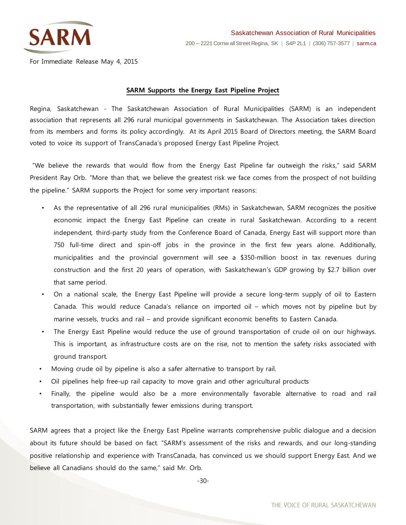

For Immediate Release May 4, 2015

## **SARM Supports the Energy East Pipeline Project**

Regina, Saskatchewan - The Saskatchewan Association of Rural Municipalities (SARM) is an independent association that represents all 296 rural municipal governments in Saskatchewan. The Association takes direction from its members and forms its policy accordingly. At its April 2015 Board of Directors meeting, the SARM Board voted to voice its support of TransCanada's proposed Energy East Pipeline Project.

"We believe the rewards that would flow from the Energy East Pipeline far outweigh the risks," said SARM President Ray Orb. "More than that, we believe the greatest risk we face comes from the prospect of not building the pipeline." SARM supports the Project for some very important reasons:

- As the representative of all 296 rural municipalities (RMs) in Saskatchewan, SARM recognizes the positive economic impact the Energy East Pipeline can create in rural Saskatchewan. According to a recent independent, third-party study from the Conference Board of Canada, Energy East will support more than 750 full-time direct and spin-off jobs in the province in the first few years alone. Additionally, municipalities and the provincial government will see a \$350-million boost in tax revenues during construction and the first 20 years of operation, with Saskatchewan's GDP growing by \$2.7 billion over that same period.
- On a national scale, the Energy East Pipeline will provide a secure long-term supply of oil to Eastern Canada. This would reduce Canada's reliance on imported oil – which moves not by pipeline but by marine vessels, trucks and rail – and provide significant economic benefits to Eastern Canada.
- The Energy East Pipeline would reduce the use of ground transportation of crude oil on our highways. This is important, as infrastructure costs are on the rise, not to mention the safety risks associated with ground transport.
- Moving crude oil by pipeline is also a safer alternative to transport by rail.
- Oil pipelines help free-up rail capacity to move grain and other agricultural products
- Finally, the pipeline would also be a more environmentally favorable alternative to road and rail transportation, with substantially fewer emissions during transport.

SARM agrees that a project like the Energy East Pipeline warrants comprehensive public dialogue and a decision about its future should be based on fact. "SARM's assessment of the risks and rewards, and our long-standing positive relationship and experience with TransCanada, has convinced us we should support Energy East. And we believe all Canadians should do the same," said Mr. Orb.

-30-